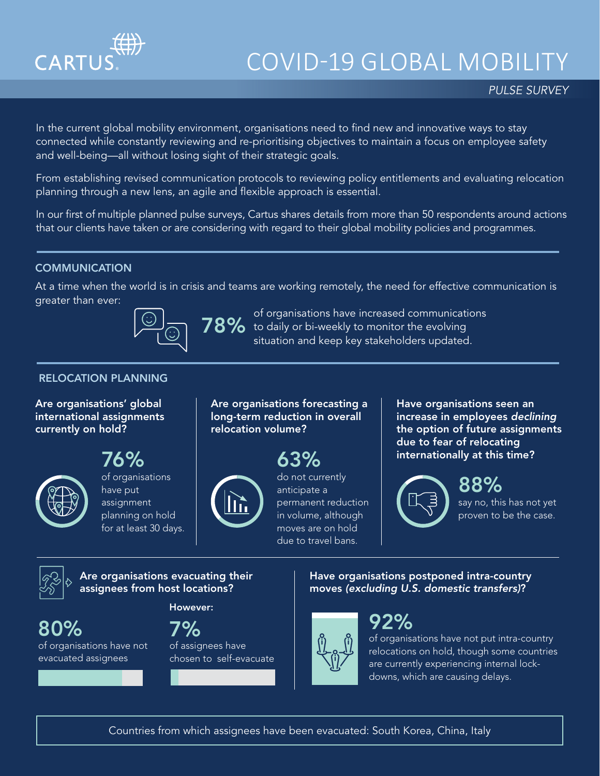

# COVID-19 GLOBAL MOBILITY

### *PULSE SURVEY*

In the current global mobility environment, organisations need to find new and innovative ways to stay connected while constantly reviewing and re-prioritising objectives to maintain a focus on employee safety and well-being—all without losing sight of their strategic goals.

From establishing revised communication protocols to reviewing policy entitlements and evaluating relocation planning through a new lens, an agile and flexible approach is essential.

In our first of multiple planned pulse surveys, Cartus shares details from more than 50 respondents around actions that our clients have taken or are considering with regard to their global mobility policies and programmes.

#### **COMMUNICATION**

At a time when the world is in crisis and teams are working remotely, the need for effective communication is greater than ever:



of organisations have increased communications<br> **78%** to daily or bi-weekly to monitor the evolving situation and keep key stakeholders updated.

### RELOCATION PLANNING

Are organisations' global international assignments currently on hold?

76%



of organisations have put assignment planning on hold for at least 30 days.

Are organisations forecasting a long-term reduction in overall relocation volume?



63% do not currently anticipate a permanent reduction in volume, although moves are on hold due to travel bans.

Have organisations seen an increase in employees *declining* the option of future assignments due to fear of relocating internationally at this time?



88% say no, this has not yet proven to be the case.

Are organisations evacuating their assignees from host locations?

However:

80%

of organisations have not evacuated assignees



of assignees have chosen to self-evacuate Have organisations postponed intra-country moves *(excluding U.S. domestic transfers)*?



92%

of organisations have not put intra-country relocations on hold, though some countries are currently experiencing internal lockdowns, which are causing delays.

Countries from which assignees have been evacuated: South Korea, China, Italy